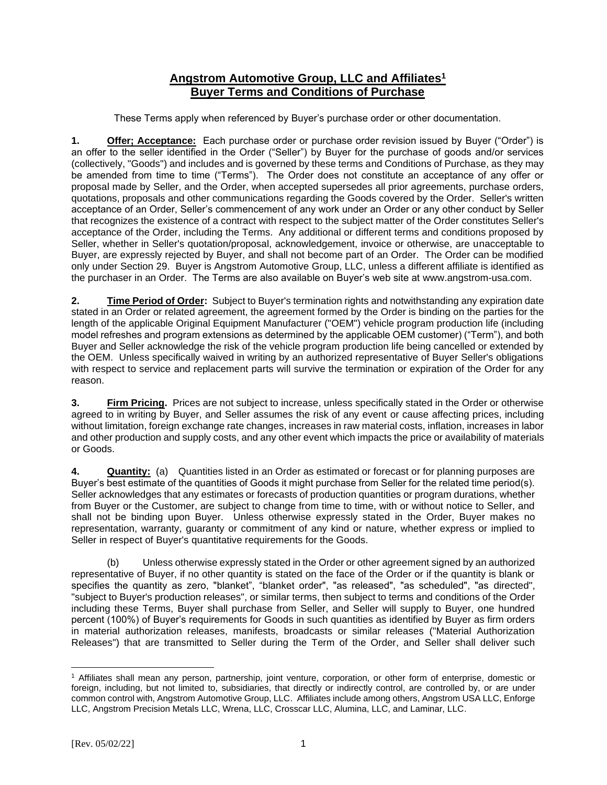## **Angstrom Automotive Group, LLC and Affiliates<sup>1</sup> Buyer Terms and Conditions of Purchase**

These Terms apply when referenced by Buyer's purchase order or other documentation.

**1. Offer; Acceptance:** Each purchase order or purchase order revision issued by Buyer ("Order") is an offer to the seller identified in the Order ("Seller") by Buyer for the purchase of goods and/or services (collectively, "Goods") and includes and is governed by these terms and Conditions of Purchase, as they may be amended from time to time ("Terms"). The Order does not constitute an acceptance of any offer or proposal made by Seller, and the Order, when accepted supersedes all prior agreements, purchase orders, quotations, proposals and other communications regarding the Goods covered by the Order. Seller's written acceptance of an Order, Seller's commencement of any work under an Order or any other conduct by Seller that recognizes the existence of a contract with respect to the subject matter of the Order constitutes Seller's acceptance of the Order, including the Terms. Any additional or different terms and conditions proposed by Seller, whether in Seller's quotation/proposal, acknowledgement, invoice or otherwise, are unacceptable to Buyer, are expressly rejected by Buyer, and shall not become part of an Order. The Order can be modified only under Section 29. Buyer is Angstrom Automotive Group, LLC, unless a different affiliate is identified as the purchaser in an Order. The Terms are also available on Buyer's web site at www.angstrom-usa.com.

**2. Time Period of Order:** Subject to Buyer's termination rights and notwithstanding any expiration date stated in an Order or related agreement, the agreement formed by the Order is binding on the parties for the length of the applicable Original Equipment Manufacturer ("OEM") vehicle program production life (including model refreshes and program extensions as determined by the applicable OEM customer) ("Term"), and both Buyer and Seller acknowledge the risk of the vehicle program production life being cancelled or extended by the OEM. Unless specifically waived in writing by an authorized representative of Buyer Seller's obligations with respect to service and replacement parts will survive the termination or expiration of the Order for any reason.

**3. Firm Pricing.** Prices are not subject to increase, unless specifically stated in the Order or otherwise agreed to in writing by Buyer, and Seller assumes the risk of any event or cause affecting prices, including without limitation, foreign exchange rate changes, increases in raw material costs, inflation, increases in labor and other production and supply costs, and any other event which impacts the price or availability of materials or Goods.

**4. Quantity:** (a) Quantities listed in an Order as estimated or forecast or for planning purposes are Buyer's best estimate of the quantities of Goods it might purchase from Seller for the related time period(s). Seller acknowledges that any estimates or forecasts of production quantities or program durations, whether from Buyer or the Customer, are subject to change from time to time, with or without notice to Seller, and shall not be binding upon Buyer. Unless otherwise expressly stated in the Order, Buyer makes no representation, warranty, guaranty or commitment of any kind or nature, whether express or implied to Seller in respect of Buyer's quantitative requirements for the Goods.

(b) Unless otherwise expressly stated in the Order or other agreement signed by an authorized representative of Buyer, if no other quantity is stated on the face of the Order or if the quantity is blank or specifies the quantity as zero, "blanket", "blanket order", "as released", "as scheduled", "as directed", "subject to Buyer's production releases", or similar terms, then subject to terms and conditions of the Order including these Terms, Buyer shall purchase from Seller, and Seller will supply to Buyer, one hundred percent (100%) of Buyer's requirements for Goods in such quantities as identified by Buyer as firm orders in material authorization releases, manifests, broadcasts or similar releases ("Material Authorization Releases") that are transmitted to Seller during the Term of the Order, and Seller shall deliver such

<sup>1</sup> Affiliates shall mean any person, partnership, joint venture, corporation, or other form of enterprise, domestic or foreign, including, but not limited to, subsidiaries, that directly or indirectly control, are controlled by, or are under common control with, Angstrom Automotive Group, LLC. Affiliates include among others, Angstrom USA LLC, Enforge LLC, Angstrom Precision Metals LLC, Wrena, LLC, Crosscar LLC, Alumina, LLC, and Laminar, LLC.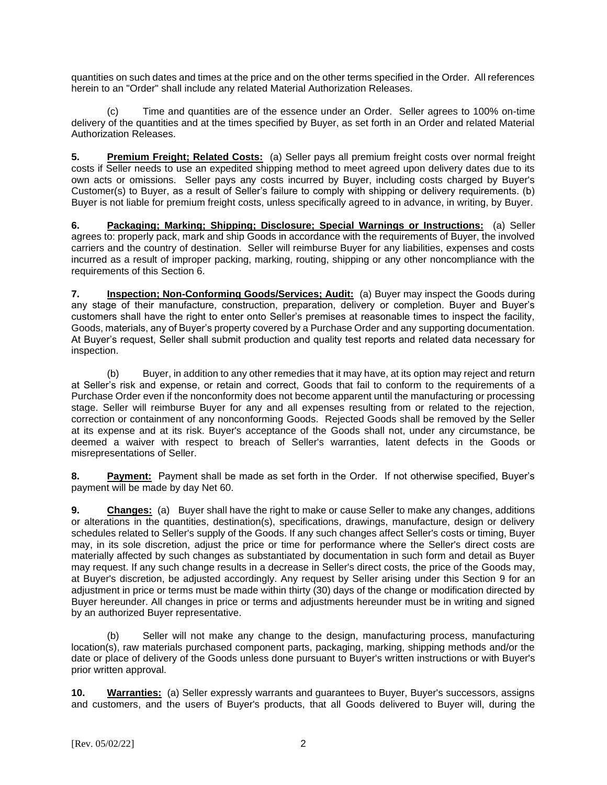quantities on such dates and times at the price and on the other terms specified in the Order. All references herein to an "Order" shall include any related Material Authorization Releases.

(c) Time and quantities are of the essence under an Order. Seller agrees to 100% on-time delivery of the quantities and at the times specified by Buyer, as set forth in an Order and related Material Authorization Releases.

**5. Premium Freight; Related Costs:** (a) Seller pays all premium freight costs over normal freight costs if Seller needs to use an expedited shipping method to meet agreed upon delivery dates due to its own acts or omissions. Seller pays any costs incurred by Buyer, including costs charged by Buyer's Customer(s) to Buyer, as a result of Seller's failure to comply with shipping or delivery requirements. (b) Buyer is not liable for premium freight costs, unless specifically agreed to in advance, in writing, by Buyer.

**6. Packaging; Marking; Shipping; Disclosure; Special Warnings or Instructions:** (a) Seller agrees to: properly pack, mark and ship Goods in accordance with the requirements of Buyer, the involved carriers and the country of destination. Seller will reimburse Buyer for any liabilities, expenses and costs incurred as a result of improper packing, marking, routing, shipping or any other noncompliance with the requirements of this Section 6.

**7. Inspection; Non-Conforming Goods/Services; Audit:** (a) Buyer may inspect the Goods during any stage of their manufacture, construction, preparation, delivery or completion. Buyer and Buyer's customers shall have the right to enter onto Seller's premises at reasonable times to inspect the facility, Goods, materials, any of Buyer's property covered by a Purchase Order and any supporting documentation. At Buyer's request, Seller shall submit production and quality test reports and related data necessary for inspection.

(b) Buyer, in addition to any other remedies that it may have, at its option may reject and return at Seller's risk and expense, or retain and correct, Goods that fail to conform to the requirements of a Purchase Order even if the nonconformity does not become apparent until the manufacturing or processing stage. Seller will reimburse Buyer for any and all expenses resulting from or related to the rejection, correction or containment of any nonconforming Goods. Rejected Goods shall be removed by the Seller at its expense and at its risk. Buyer's acceptance of the Goods shall not, under any circumstance, be deemed a waiver with respect to breach of Seller's warranties, latent defects in the Goods or misrepresentations of Seller.

**8. Payment:** Payment shall be made as set forth in the Order. If not otherwise specified, Buyer's payment will be made by day Net 60.

**9. Changes:** (a) Buyer shall have the right to make or cause Seller to make any changes, additions or alterations in the quantities, destination(s), specifications, drawings, manufacture, design or delivery schedules related to Seller's supply of the Goods. If any such changes affect Seller's costs or timing, Buyer may, in its sole discretion, adjust the price or time for performance where the Seller's direct costs are materially affected by such changes as substantiated by documentation in such form and detail as Buyer may request. If any such change results in a decrease in Seller's direct costs, the price of the Goods may, at Buyer's discretion, be adjusted accordingly. Any request by Seller arising under this Section 9 for an adjustment in price or terms must be made within thirty (30) days of the change or modification directed by Buyer hereunder. All changes in price or terms and adjustments hereunder must be in writing and signed by an authorized Buyer representative.

(b) Seller will not make any change to the design, manufacturing process, manufacturing location(s), raw materials purchased component parts, packaging, marking, shipping methods and/or the date or place of delivery of the Goods unless done pursuant to Buyer's written instructions or with Buyer's prior written approval.

**10. Warranties:** (a) Seller expressly warrants and guarantees to Buyer, Buyer's successors, assigns and customers, and the users of Buyer's products, that all Goods delivered to Buyer will, during the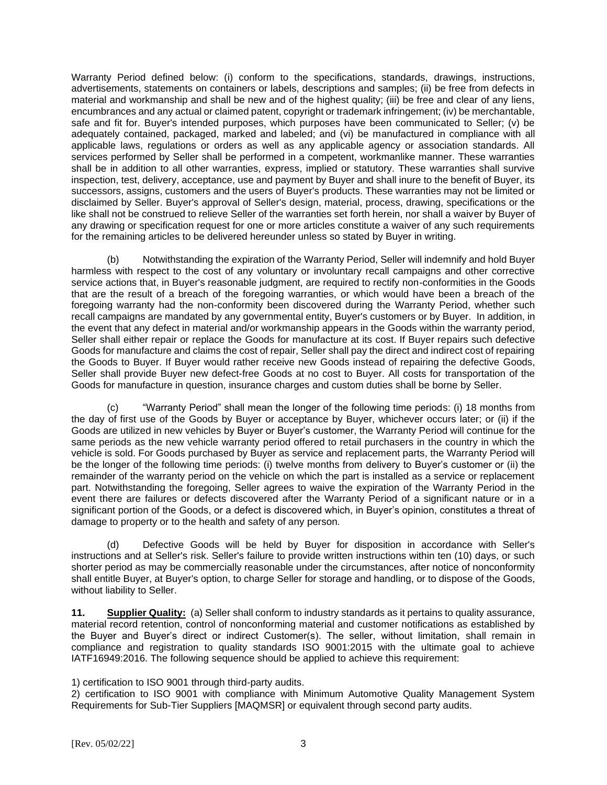Warranty Period defined below: (i) conform to the specifications, standards, drawings, instructions, advertisements, statements on containers or labels, descriptions and samples; (ii) be free from defects in material and workmanship and shall be new and of the highest quality; (iii) be free and clear of any liens, encumbrances and any actual or claimed patent, copyright or trademark infringement; (iv) be merchantable, safe and fit for. Buyer's intended purposes, which purposes have been communicated to Seller; (v) be adequately contained, packaged, marked and labeled; and (vi) be manufactured in compliance with all applicable laws, regulations or orders as well as any applicable agency or association standards. All services performed by Seller shall be performed in a competent, workmanlike manner. These warranties shall be in addition to all other warranties, express, implied or statutory. These warranties shall survive inspection, test, delivery, acceptance, use and payment by Buyer and shall inure to the benefit of Buyer, its successors, assigns, customers and the users of Buyer's products. These warranties may not be limited or disclaimed by Seller. Buyer's approval of Seller's design, material, process, drawing, specifications or the like shall not be construed to relieve Seller of the warranties set forth herein, nor shall a waiver by Buyer of any drawing or specification request for one or more articles constitute a waiver of any such requirements for the remaining articles to be delivered hereunder unless so stated by Buyer in writing.

(b) Notwithstanding the expiration of the Warranty Period, Seller will indemnify and hold Buyer harmless with respect to the cost of any voluntary or involuntary recall campaigns and other corrective service actions that, in Buyer's reasonable judgment, are required to rectify non-conformities in the Goods that are the result of a breach of the foregoing warranties, or which would have been a breach of the foregoing warranty had the non-conformity been discovered during the Warranty Period, whether such recall campaigns are mandated by any governmental entity, Buyer's customers or by Buyer. In addition, in the event that any defect in material and/or workmanship appears in the Goods within the warranty period, Seller shall either repair or replace the Goods for manufacture at its cost. If Buyer repairs such defective Goods for manufacture and claims the cost of repair, Seller shall pay the direct and indirect cost of repairing the Goods to Buyer. If Buyer would rather receive new Goods instead of repairing the defective Goods, Seller shall provide Buyer new defect-free Goods at no cost to Buyer. All costs for transportation of the Goods for manufacture in question, insurance charges and custom duties shall be borne by Seller.

(c) "Warranty Period" shall mean the longer of the following time periods: (i) 18 months from the day of first use of the Goods by Buyer or acceptance by Buyer, whichever occurs later; or (ii) if the Goods are utilized in new vehicles by Buyer or Buyer's customer, the Warranty Period will continue for the same periods as the new vehicle warranty period offered to retail purchasers in the country in which the vehicle is sold. For Goods purchased by Buyer as service and replacement parts, the Warranty Period will be the longer of the following time periods: (i) twelve months from delivery to Buyer's customer or (ii) the remainder of the warranty period on the vehicle on which the part is installed as a service or replacement part. Notwithstanding the foregoing, Seller agrees to waive the expiration of the Warranty Period in the event there are failures or defects discovered after the Warranty Period of a significant nature or in a significant portion of the Goods, or a defect is discovered which, in Buyer's opinion, constitutes a threat of damage to property or to the health and safety of any person.

(d) Defective Goods will be held by Buyer for disposition in accordance with Seller's instructions and at Seller's risk. Seller's failure to provide written instructions within ten (10) days, or such shorter period as may be commercially reasonable under the circumstances, after notice of nonconformity shall entitle Buyer, at Buyer's option, to charge Seller for storage and handling, or to dispose of the Goods, without liability to Seller.

**11. Supplier Quality:** (a) Seller shall conform to industry standards as it pertains to quality assurance, material record retention, control of nonconforming material and customer notifications as established by the Buyer and Buyer's direct or indirect Customer(s). The seller, without limitation, shall remain in compliance and registration to quality standards ISO 9001:2015 with the ultimate goal to achieve IATF16949:2016. The following sequence should be applied to achieve this requirement:

1) certification to ISO 9001 through third-party audits.

2) certification to ISO 9001 with compliance with Minimum Automotive Quality Management System Requirements for Sub-Tier Suppliers [MAQMSR] or equivalent through second party audits.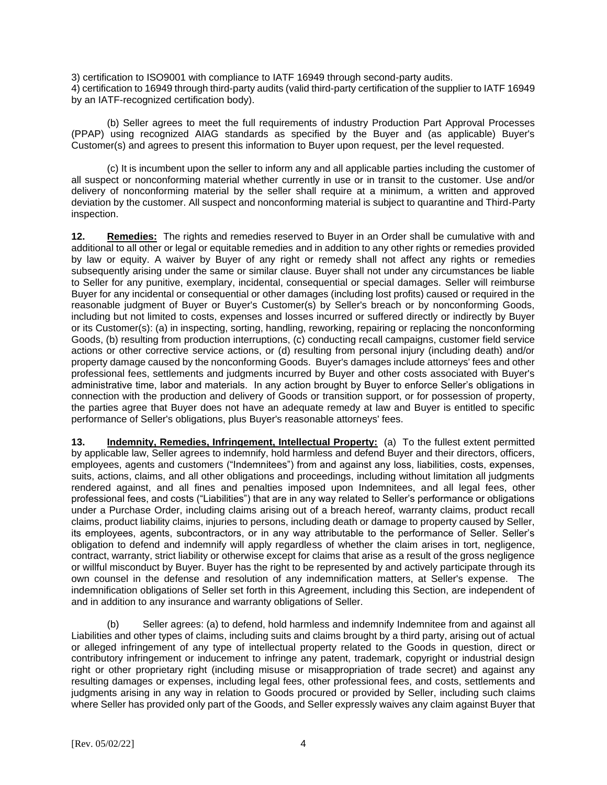3) certification to ISO9001 with compliance to IATF 16949 through second-party audits. 4) certification to 16949 through third-party audits (valid third-party certification of the supplier to IATF 16949 by an IATF-recognized certification body).

(b) Seller agrees to meet the full requirements of industry Production Part Approval Processes (PPAP) using recognized AIAG standards as specified by the Buyer and (as applicable) Buyer's Customer(s) and agrees to present this information to Buyer upon request, per the level requested.

(c) It is incumbent upon the seller to inform any and all applicable parties including the customer of all suspect or nonconforming material whether currently in use or in transit to the customer. Use and/or delivery of nonconforming material by the seller shall require at a minimum, a written and approved deviation by the customer. All suspect and nonconforming material is subject to quarantine and Third-Party inspection.

**12. Remedies:** The rights and remedies reserved to Buyer in an Order shall be cumulative with and additional to all other or legal or equitable remedies and in addition to any other rights or remedies provided by law or equity. A waiver by Buyer of any right or remedy shall not affect any rights or remedies subsequently arising under the same or similar clause. Buyer shall not under any circumstances be liable to Seller for any punitive, exemplary, incidental, consequential or special damages. Seller will reimburse Buyer for any incidental or consequential or other damages (including lost profits) caused or required in the reasonable judgment of Buyer or Buyer's Customer(s) by Seller's breach or by nonconforming Goods, including but not limited to costs, expenses and losses incurred or suffered directly or indirectly by Buyer or its Customer(s): (a) in inspecting, sorting, handling, reworking, repairing or replacing the nonconforming Goods, (b) resulting from production interruptions, (c) conducting recall campaigns, customer field service actions or other corrective service actions, or (d) resulting from personal injury (including death) and/or property damage caused by the nonconforming Goods. Buyer's damages include attorneys' fees and other professional fees, settlements and judgments incurred by Buyer and other costs associated with Buyer's administrative time, labor and materials. In any action brought by Buyer to enforce Seller's obligations in connection with the production and delivery of Goods or transition support, or for possession of property, the parties agree that Buyer does not have an adequate remedy at law and Buyer is entitled to specific performance of Seller's obligations, plus Buyer's reasonable attorneys' fees.

**13. Indemnity, Remedies, Infringement, Intellectual Property:** (a) To the fullest extent permitted by applicable law, Seller agrees to indemnify, hold harmless and defend Buyer and their directors, officers, employees, agents and customers ("Indemnitees") from and against any loss, liabilities, costs, expenses, suits, actions, claims, and all other obligations and proceedings, including without limitation all judgments rendered against, and all fines and penalties imposed upon Indemnitees, and all legal fees, other professional fees, and costs ("Liabilities") that are in any way related to Seller's performance or obligations under a Purchase Order, including claims arising out of a breach hereof, warranty claims, product recall claims, product liability claims, injuries to persons, including death or damage to property caused by Seller, its employees, agents, subcontractors, or in any way attributable to the performance of Seller. Seller's obligation to defend and indemnify will apply regardless of whether the claim arises in tort, negligence, contract, warranty, strict liability or otherwise except for claims that arise as a result of the gross negligence or willful misconduct by Buyer. Buyer has the right to be represented by and actively participate through its own counsel in the defense and resolution of any indemnification matters, at Seller's expense. The indemnification obligations of Seller set forth in this Agreement, including this Section, are independent of and in addition to any insurance and warranty obligations of Seller.

(b) Seller agrees: (a) to defend, hold harmless and indemnify Indemnitee from and against all Liabilities and other types of claims, including suits and claims brought by a third party, arising out of actual or alleged infringement of any type of intellectual property related to the Goods in question, direct or contributory infringement or inducement to infringe any patent, trademark, copyright or industrial design right or other proprietary right (including misuse or misappropriation of trade secret) and against any resulting damages or expenses, including legal fees, other professional fees, and costs, settlements and judgments arising in any way in relation to Goods procured or provided by Seller, including such claims where Seller has provided only part of the Goods, and Seller expressly waives any claim against Buyer that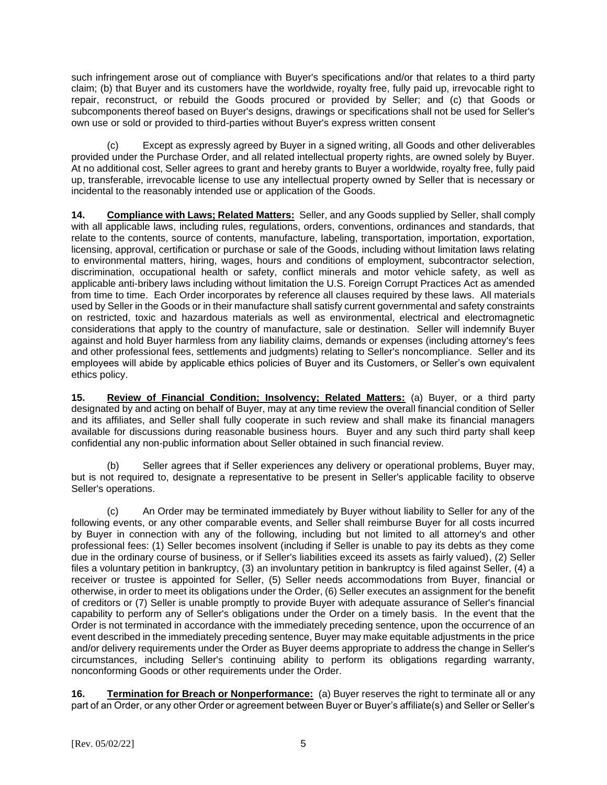such infringement arose out of compliance with Buyer's specifications and/or that relates to a third party claim; (b) that Buyer and its customers have the worldwide, royalty free, fully paid up, irrevocable right to repair, reconstruct, or rebuild the Goods procured or provided by Seller; and (c) that Goods or subcomponents thereof based on Buyer's designs, drawings or specifications shall not be used for Seller's own use or sold or provided to third-parties without Buyer's express written consent

(c) Except as expressly agreed by Buyer in a signed writing, all Goods and other deliverables provided under the Purchase Order, and all related intellectual property rights, are owned solely by Buyer. At no additional cost, Seller agrees to grant and hereby grants to Buyer a worldwide, royalty free, fully paid up, transferable, irrevocable license to use any intellectual property owned by Seller that is necessary or incidental to the reasonably intended use or application of the Goods.

**14. Compliance with Laws; Related Matters:** Seller, and any Goods supplied by Seller, shall comply with all applicable laws, including rules, regulations, orders, conventions, ordinances and standards, that relate to the contents, source of contents, manufacture, labeling, transportation, importation, exportation, licensing, approval, certification or purchase or sale of the Goods, including without limitation laws relating to environmental matters, hiring, wages, hours and conditions of employment, subcontractor selection, discrimination, occupational health or safety, conflict minerals and motor vehicle safety, as well as applicable anti-bribery laws including without limitation the U.S. Foreign Corrupt Practices Act as amended from time to time. Each Order incorporates by reference all clauses required by these laws. All materials used by Seller in the Goods or in their manufacture shall satisfy current governmental and safety constraints on restricted, toxic and hazardous materials as well as environmental, electrical and electromagnetic considerations that apply to the country of manufacture, sale or destination. Seller will indemnify Buyer against and hold Buyer harmless from any liability claims, demands or expenses (including attorney's fees and other professional fees, settlements and judgments) relating to Seller's noncompliance. Seller and its employees will abide by applicable ethics policies of Buyer and its Customers, or Seller's own equivalent ethics policy.

**15. Review of Financial Condition; Insolvency; Related Matters:** (a) Buyer, or a third party designated by and acting on behalf of Buyer, may at any time review the overall financial condition of Seller and its affiliates, and Seller shall fully cooperate in such review and shall make its financial managers available for discussions during reasonable business hours. Buyer and any such third party shall keep confidential any non-public information about Seller obtained in such financial review.

(b) Seller agrees that if Seller experiences any delivery or operational problems, Buyer may, but is not required to, designate a representative to be present in Seller's applicable facility to observe Seller's operations.

(c) An Order may be terminated immediately by Buyer without liability to Seller for any of the following events, or any other comparable events, and Seller shall reimburse Buyer for all costs incurred by Buyer in connection with any of the following, including but not limited to all attorney's and other professional fees: (1) Seller becomes insolvent (including if Seller is unable to pay its debts as they come due in the ordinary course of business, or if Seller's liabilities exceed its assets as fairly valued), (2) Seller files a voluntary petition in bankruptcy, (3) an involuntary petition in bankruptcy is filed against Seller, (4) a receiver or trustee is appointed for Seller, (5) Seller needs accommodations from Buyer, financial or otherwise, in order to meet its obligations under the Order, (6) Seller executes an assignment for the benefit of creditors or (7) Seller is unable promptly to provide Buyer with adequate assurance of Seller's financial capability to perform any of Seller's obligations under the Order on a timely basis. In the event that the Order is not terminated in accordance with the immediately preceding sentence, upon the occurrence of an event described in the immediately preceding sentence, Buyer may make equitable adjustments in the price and/or delivery requirements under the Order as Buyer deems appropriate to address the change in Seller's circumstances, including Seller's continuing ability to perform its obligations regarding warranty, nonconforming Goods or other requirements under the Order.

**16. Termination for Breach or Nonperformance:** (a) Buyer reserves the right to terminate all or any part of an Order, or any other Order or agreement between Buyer or Buyer's affiliate(s) and Seller or Seller's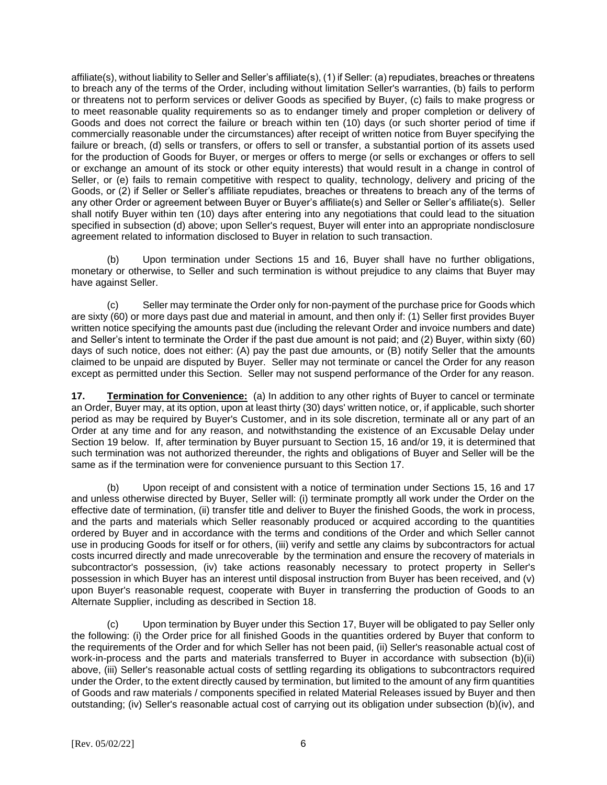affiliate(s), without liability to Seller and Seller's affiliate(s), (1) if Seller: (a) repudiates, breaches or threatens to breach any of the terms of the Order, including without limitation Seller's warranties, (b) fails to perform or threatens not to perform services or deliver Goods as specified by Buyer, (c) fails to make progress or to meet reasonable quality requirements so as to endanger timely and proper completion or delivery of Goods and does not correct the failure or breach within ten (10) days (or such shorter period of time if commercially reasonable under the circumstances) after receipt of written notice from Buyer specifying the failure or breach, (d) sells or transfers, or offers to sell or transfer, a substantial portion of its assets used for the production of Goods for Buyer, or merges or offers to merge (or sells or exchanges or offers to sell or exchange an amount of its stock or other equity interests) that would result in a change in control of Seller, or (e) fails to remain competitive with respect to quality, technology, delivery and pricing of the Goods, or (2) if Seller or Seller's affiliate repudiates, breaches or threatens to breach any of the terms of any other Order or agreement between Buyer or Buyer's affiliate(s) and Seller or Seller's affiliate(s). Seller shall notify Buyer within ten (10) days after entering into any negotiations that could lead to the situation specified in subsection (d) above; upon Seller's request, Buyer will enter into an appropriate nondisclosure agreement related to information disclosed to Buyer in relation to such transaction.

(b) Upon termination under Sections 15 and 16, Buyer shall have no further obligations, monetary or otherwise, to Seller and such termination is without prejudice to any claims that Buyer may have against Seller.

(c) Seller may terminate the Order only for non-payment of the purchase price for Goods which are sixty (60) or more days past due and material in amount, and then only if: (1) Seller first provides Buyer written notice specifying the amounts past due (including the relevant Order and invoice numbers and date) and Seller's intent to terminate the Order if the past due amount is not paid; and (2) Buyer, within sixty (60) days of such notice, does not either: (A) pay the past due amounts, or (B) notify Seller that the amounts claimed to be unpaid are disputed by Buyer. Seller may not terminate or cancel the Order for any reason except as permitted under this Section. Seller may not suspend performance of the Order for any reason.

**17. Termination for Convenience:** (a) In addition to any other rights of Buyer to cancel or terminate an Order, Buyer may, at its option, upon at least thirty (30) days' written notice, or, if applicable, such shorter period as may be required by Buyer's Customer, and in its sole discretion, terminate all or any part of an Order at any time and for any reason, and notwithstanding the existence of an Excusable Delay under Section 19 below. If, after termination by Buyer pursuant to Section 15, 16 and/or 19, it is determined that such termination was not authorized thereunder, the rights and obligations of Buyer and Seller will be the same as if the termination were for convenience pursuant to this Section 17.

(b) Upon receipt of and consistent with a notice of termination under Sections 15, 16 and 17 and unless otherwise directed by Buyer, Seller will: (i) terminate promptly all work under the Order on the effective date of termination, (ii) transfer title and deliver to Buyer the finished Goods, the work in process, and the parts and materials which Seller reasonably produced or acquired according to the quantities ordered by Buyer and in accordance with the terms and conditions of the Order and which Seller cannot use in producing Goods for itself or for others, (iii) verify and settle any claims by subcontractors for actual costs incurred directly and made unrecoverable by the termination and ensure the recovery of materials in subcontractor's possession, (iv) take actions reasonably necessary to protect property in Seller's possession in which Buyer has an interest until disposal instruction from Buyer has been received, and (v) upon Buyer's reasonable request, cooperate with Buyer in transferring the production of Goods to an Alternate Supplier, including as described in Section 18.

(c) Upon termination by Buyer under this Section 17, Buyer will be obligated to pay Seller only the following: (i) the Order price for all finished Goods in the quantities ordered by Buyer that conform to the requirements of the Order and for which Seller has not been paid, (ii) Seller's reasonable actual cost of work-in-process and the parts and materials transferred to Buyer in accordance with subsection (b)(ii) above, (iii) Seller's reasonable actual costs of settling regarding its obligations to subcontractors required under the Order, to the extent directly caused by termination, but limited to the amount of any firm quantities of Goods and raw materials / components specified in related Material Releases issued by Buyer and then outstanding; (iv) Seller's reasonable actual cost of carrying out its obligation under subsection (b)(iv), and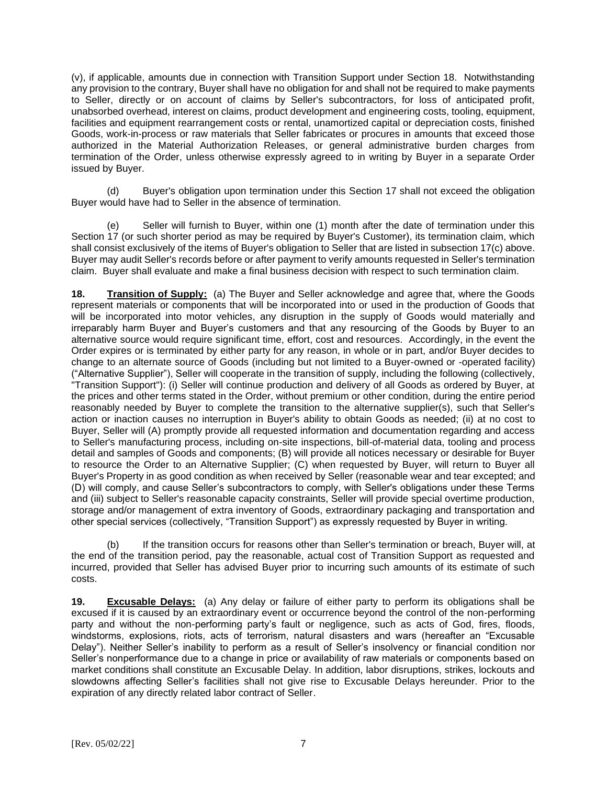(v), if applicable, amounts due in connection with Transition Support under Section 18. Notwithstanding any provision to the contrary, Buyer shall have no obligation for and shall not be required to make payments to Seller, directly or on account of claims by Seller's subcontractors, for loss of anticipated profit, unabsorbed overhead, interest on claims, product development and engineering costs, tooling, equipment, facilities and equipment rearrangement costs or rental, unamortized capital or depreciation costs, finished Goods, work-in-process or raw materials that Seller fabricates or procures in amounts that exceed those authorized in the Material Authorization Releases, or general administrative burden charges from termination of the Order, unless otherwise expressly agreed to in writing by Buyer in a separate Order issued by Buyer.

(d) Buyer's obligation upon termination under this Section 17 shall not exceed the obligation Buyer would have had to Seller in the absence of termination.

Seller will furnish to Buyer, within one (1) month after the date of termination under this Section 17 (or such shorter period as may be required by Buyer's Customer), its termination claim, which shall consist exclusively of the items of Buyer's obligation to Seller that are listed in subsection 17(c) above. Buyer may audit Seller's records before or after payment to verify amounts requested in Seller's termination claim. Buyer shall evaluate and make a final business decision with respect to such termination claim.

**18. Transition of Supply:** (a) The Buyer and Seller acknowledge and agree that, where the Goods represent materials or components that will be incorporated into or used in the production of Goods that will be incorporated into motor vehicles, any disruption in the supply of Goods would materially and irreparably harm Buyer and Buyer's customers and that any resourcing of the Goods by Buyer to an alternative source would require significant time, effort, cost and resources. Accordingly, in the event the Order expires or is terminated by either party for any reason, in whole or in part, and/or Buyer decides to change to an alternate source of Goods (including but not limited to a Buyer-owned or -operated facility) ("Alternative Supplier"), Seller will cooperate in the transition of supply, including the following (collectively, "Transition Support"): (i) Seller will continue production and delivery of all Goods as ordered by Buyer, at the prices and other terms stated in the Order, without premium or other condition, during the entire period reasonably needed by Buyer to complete the transition to the alternative supplier(s), such that Seller's action or inaction causes no interruption in Buyer's ability to obtain Goods as needed; (ii) at no cost to Buyer, Seller will (A) promptly provide all requested information and documentation regarding and access to Seller's manufacturing process, including on-site inspections, bill-of-material data, tooling and process detail and samples of Goods and components; (B) will provide all notices necessary or desirable for Buyer to resource the Order to an Alternative Supplier; (C) when requested by Buyer, will return to Buyer all Buyer's Property in as good condition as when received by Seller (reasonable wear and tear excepted; and (D) will comply, and cause Seller's subcontractors to comply, with Seller's obligations under these Terms and (iii) subject to Seller's reasonable capacity constraints, Seller will provide special overtime production, storage and/or management of extra inventory of Goods, extraordinary packaging and transportation and other special services (collectively, "Transition Support") as expressly requested by Buyer in writing.

(b) If the transition occurs for reasons other than Seller's termination or breach, Buyer will, at the end of the transition period, pay the reasonable, actual cost of Transition Support as requested and incurred, provided that Seller has advised Buyer prior to incurring such amounts of its estimate of such costs.

**19. Excusable Delays:** (a) Any delay or failure of either party to perform its obligations shall be excused if it is caused by an extraordinary event or occurrence beyond the control of the non-performing party and without the non-performing party's fault or negligence, such as acts of God, fires, floods, windstorms, explosions, riots, acts of terrorism, natural disasters and wars (hereafter an "Excusable Delay"). Neither Seller's inability to perform as a result of Seller's insolvency or financial condition nor Seller's nonperformance due to a change in price or availability of raw materials or components based on market conditions shall constitute an Excusable Delay. In addition, labor disruptions, strikes, lockouts and slowdowns affecting Seller's facilities shall not give rise to Excusable Delays hereunder. Prior to the expiration of any directly related labor contract of Seller.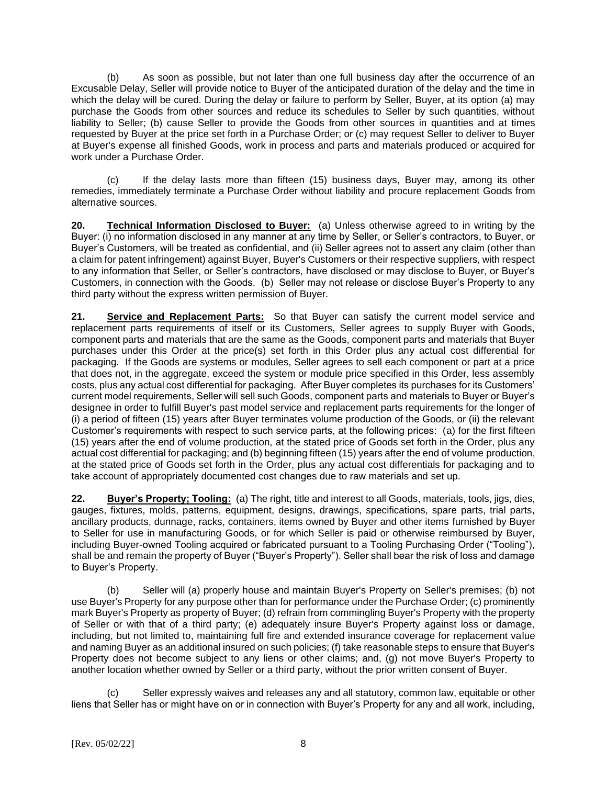(b) As soon as possible, but not later than one full business day after the occurrence of an Excusable Delay, Seller will provide notice to Buyer of the anticipated duration of the delay and the time in which the delay will be cured. During the delay or failure to perform by Seller, Buyer, at its option (a) may purchase the Goods from other sources and reduce its schedules to Seller by such quantities, without liability to Seller; (b) cause Seller to provide the Goods from other sources in quantities and at times requested by Buyer at the price set forth in a Purchase Order; or (c) may request Seller to deliver to Buyer at Buyer's expense all finished Goods, work in process and parts and materials produced or acquired for work under a Purchase Order.

(c) If the delay lasts more than fifteen (15) business days, Buyer may, among its other remedies, immediately terminate a Purchase Order without liability and procure replacement Goods from alternative sources.

**20. Technical Information Disclosed to Buyer:** (a) Unless otherwise agreed to in writing by the Buyer: (i) no information disclosed in any manner at any time by Seller, or Seller's contractors, to Buyer, or Buyer's Customers, will be treated as confidential, and (ii) Seller agrees not to assert any claim (other than a claim for patent infringement) against Buyer, Buyer's Customers or their respective suppliers, with respect to any information that Seller, or Seller's contractors, have disclosed or may disclose to Buyer, or Buyer's Customers, in connection with the Goods. (b) Seller may not release or disclose Buyer's Property to any third party without the express written permission of Buyer.

**21. Service and Replacement Parts:** So that Buyer can satisfy the current model service and replacement parts requirements of itself or its Customers, Seller agrees to supply Buyer with Goods, component parts and materials that are the same as the Goods, component parts and materials that Buyer purchases under this Order at the price(s) set forth in this Order plus any actual cost differential for packaging. If the Goods are systems or modules, Seller agrees to sell each component or part at a price that does not, in the aggregate, exceed the system or module price specified in this Order, less assembly costs, plus any actual cost differential for packaging. After Buyer completes its purchases for its Customers' current model requirements, Seller will sell such Goods, component parts and materials to Buyer or Buyer's designee in order to fulfill Buyer's past model service and replacement parts requirements for the longer of (i) a period of fifteen (15) years after Buyer terminates volume production of the Goods, or (ii) the relevant Customer's requirements with respect to such service parts, at the following prices: (a) for the first fifteen (15) years after the end of volume production, at the stated price of Goods set forth in the Order, plus any actual cost differential for packaging; and (b) beginning fifteen (15) years after the end of volume production, at the stated price of Goods set forth in the Order, plus any actual cost differentials for packaging and to take account of appropriately documented cost changes due to raw materials and set up.

**22. Buyer's Property; Tooling:** (a) The right, title and interest to all Goods, materials, tools, jigs, dies, gauges, fixtures, molds, patterns, equipment, designs, drawings, specifications, spare parts, trial parts, ancillary products, dunnage, racks, containers, items owned by Buyer and other items furnished by Buyer to Seller for use in manufacturing Goods, or for which Seller is paid or otherwise reimbursed by Buyer, including Buyer-owned Tooling acquired or fabricated pursuant to a Tooling Purchasing Order ("Tooling"), shall be and remain the property of Buyer ("Buyer's Property"). Seller shall bear the risk of loss and damage to Buyer's Property.

(b) Seller will (a) properly house and maintain Buyer's Property on Seller's premises; (b) not use Buyer's Property for any purpose other than for performance under the Purchase Order; (c) prominently mark Buyer's Property as property of Buyer; (d) refrain from commingling Buyer's Property with the property of Seller or with that of a third party; (e) adequately insure Buyer's Property against loss or damage, including, but not limited to, maintaining full fire and extended insurance coverage for replacement value and naming Buyer as an additional insured on such policies; (f) take reasonable steps to ensure that Buyer's Property does not become subject to any liens or other claims; and, (g) not move Buyer's Property to another location whether owned by Seller or a third party, without the prior written consent of Buyer.

(c) Seller expressly waives and releases any and all statutory, common law, equitable or other liens that Seller has or might have on or in connection with Buyer's Property for any and all work, including,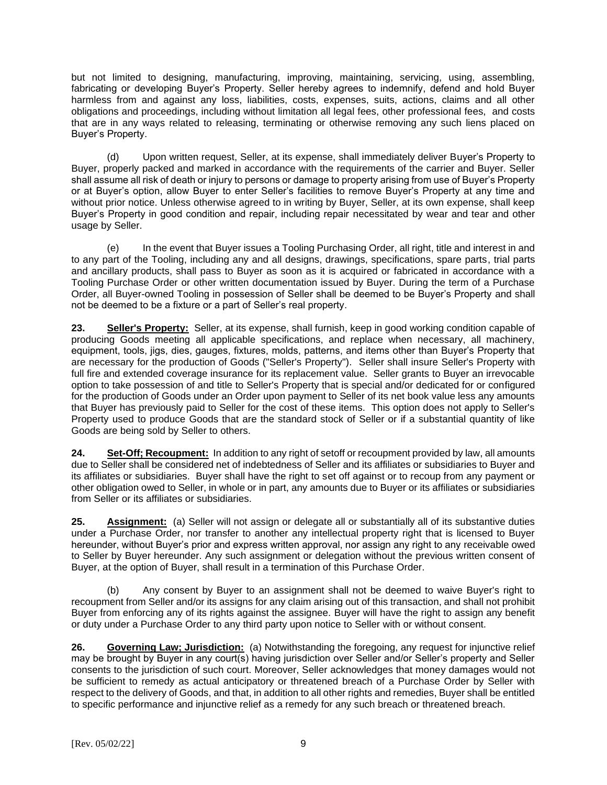but not limited to designing, manufacturing, improving, maintaining, servicing, using, assembling, fabricating or developing Buyer's Property. Seller hereby agrees to indemnify, defend and hold Buyer harmless from and against any loss, liabilities, costs, expenses, suits, actions, claims and all other obligations and proceedings, including without limitation all legal fees, other professional fees, and costs that are in any ways related to releasing, terminating or otherwise removing any such liens placed on Buyer's Property.

(d) Upon written request, Seller, at its expense, shall immediately deliver Buyer's Property to Buyer, properly packed and marked in accordance with the requirements of the carrier and Buyer. Seller shall assume all risk of death or injury to persons or damage to property arising from use of Buyer's Property or at Buyer's option, allow Buyer to enter Seller's facilities to remove Buyer's Property at any time and without prior notice. Unless otherwise agreed to in writing by Buyer, Seller, at its own expense, shall keep Buyer's Property in good condition and repair, including repair necessitated by wear and tear and other usage by Seller.

(e) In the event that Buyer issues a Tooling Purchasing Order, all right, title and interest in and to any part of the Tooling, including any and all designs, drawings, specifications, spare parts, trial parts and ancillary products, shall pass to Buyer as soon as it is acquired or fabricated in accordance with a Tooling Purchase Order or other written documentation issued by Buyer. During the term of a Purchase Order, all Buyer-owned Tooling in possession of Seller shall be deemed to be Buyer's Property and shall not be deemed to be a fixture or a part of Seller's real property.

**23. Seller's Property:** Seller, at its expense, shall furnish, keep in good working condition capable of producing Goods meeting all applicable specifications, and replace when necessary, all machinery, equipment, tools, jigs, dies, gauges, fixtures, molds, patterns, and items other than Buyer's Property that are necessary for the production of Goods ("Seller's Property"). Seller shall insure Seller's Property with full fire and extended coverage insurance for its replacement value. Seller grants to Buyer an irrevocable option to take possession of and title to Seller's Property that is special and/or dedicated for or configured for the production of Goods under an Order upon payment to Seller of its net book value less any amounts that Buyer has previously paid to Seller for the cost of these items. This option does not apply to Seller's Property used to produce Goods that are the standard stock of Seller or if a substantial quantity of like Goods are being sold by Seller to others.

**24. Set-Off; Recoupment:** In addition to any right of setoff or recoupment provided by law, all amounts due to Seller shall be considered net of indebtedness of Seller and its affiliates or subsidiaries to Buyer and its affiliates or subsidiaries. Buyer shall have the right to set off against or to recoup from any payment or other obligation owed to Seller, in whole or in part, any amounts due to Buyer or its affiliates or subsidiaries from Seller or its affiliates or subsidiaries.

**25. Assignment:** (a) Seller will not assign or delegate all or substantially all of its substantive duties under a Purchase Order, nor transfer to another any intellectual property right that is licensed to Buyer hereunder, without Buyer's prior and express written approval, nor assign any right to any receivable owed to Seller by Buyer hereunder. Any such assignment or delegation without the previous written consent of Buyer, at the option of Buyer, shall result in a termination of this Purchase Order.

(b) Any consent by Buyer to an assignment shall not be deemed to waive Buyer's right to recoupment from Seller and/or its assigns for any claim arising out of this transaction, and shall not prohibit Buyer from enforcing any of its rights against the assignee. Buyer will have the right to assign any benefit or duty under a Purchase Order to any third party upon notice to Seller with or without consent.

**26. Governing Law; Jurisdiction:**(a) Notwithstanding the foregoing, any request for injunctive relief may be brought by Buyer in any court(s) having jurisdiction over Seller and/or Seller's property and Seller consents to the jurisdiction of such court. Moreover, Seller acknowledges that money damages would not be sufficient to remedy as actual anticipatory or threatened breach of a Purchase Order by Seller with respect to the delivery of Goods, and that, in addition to all other rights and remedies, Buyer shall be entitled to specific performance and injunctive relief as a remedy for any such breach or threatened breach.